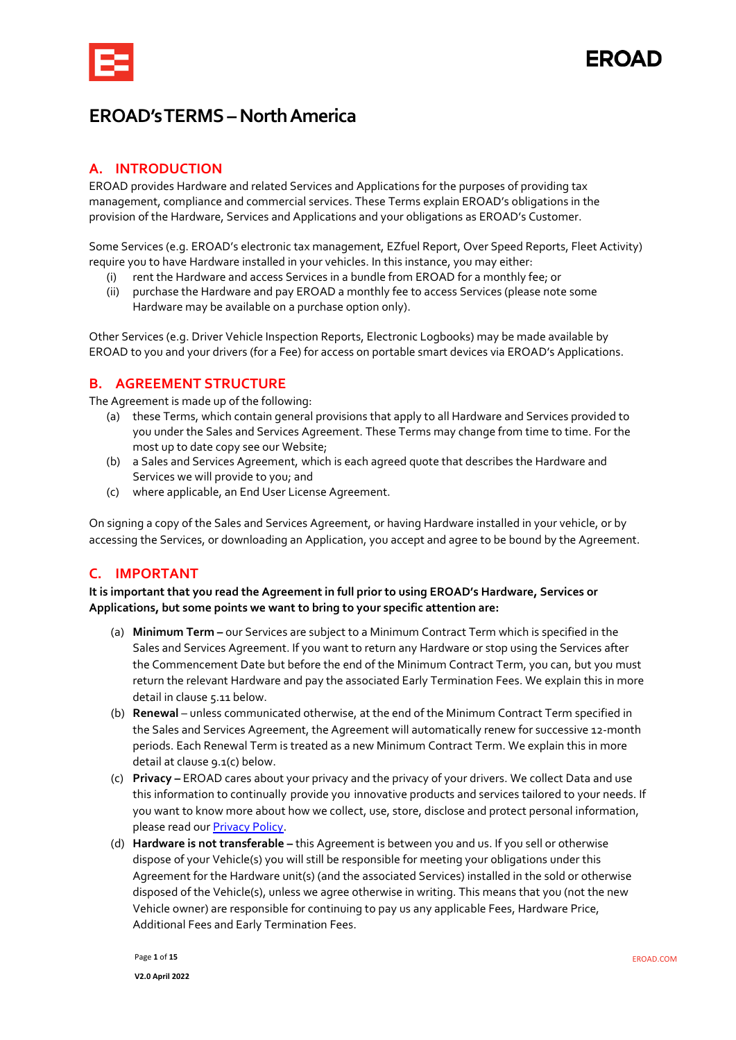

## **EROAD's TERMS – North America**

## **A. INTRODUCTION**

EROAD provides Hardware and related Services and Applications for the purposes of providing tax management, compliance and commercial services. These Terms explain EROAD's obligations in the provision of the Hardware, Services and Applications and your obligations as EROAD's Customer.

Some Services (e.g. EROAD's electronic tax management, EZfuel Report, Over Speed Reports, Fleet Activity) require you to have Hardware installed in your vehicles. In this instance, you may either:

- (i) rent the Hardware and access Services in a bundle from EROAD for a monthly fee; or
- (ii) purchase the Hardware and pay EROAD a monthly fee to access Services (please note some Hardware may be available on a purchase option only).

Other Services (e.g. Driver Vehicle Inspection Reports, Electronic Logbooks) may be made available by EROAD to you and your drivers (for a Fee) for access on portable smart devices via EROAD's Applications.

## **B. AGREEMENT STRUCTURE**

The Agreement is made up of the following:

- (a) these Terms, which contain general provisions that apply to all Hardware and Services provided to you under the Sales and Services Agreement. These Terms may change from time to time. For the most up to date copy see our Website;
- (b) a Sales and Services Agreement, which is each agreed quote that describes the Hardware and Services we will provide to you; and
- (c) where applicable, an End User License Agreement.

On signing a copy of the Sales and Services Agreement, or having Hardware installed in your vehicle, or by accessing the Services, or downloading an Application, you accept and agree to be bound by the Agreement.

## **C. IMPORTANT**

**It is important that you read the Agreement in full prior to using EROAD's Hardware, Services or Applications, but some points we want to bring to your specific attention are:**

- (a) **Minimum Term** our Services are subject to a Minimum Contract Term which is specified in the Sales and Services Agreement. If you want to return any Hardware or stop using the Services after the Commencement Date but before the end of the Minimum Contract Term, you can, but you must return the relevant Hardware and pay the associated Early Termination Fees. We explain this in more detail in claus[e 5.11](#page-9-0) below.
- (b) **Renewal** unless communicated otherwise, at the end of the Minimum Contract Term specified in the Sales and Services Agreement, the Agreement will automatically renew for successive 12-month periods. Each Renewal Term is treated as a new Minimum Contract Term. We explain this in more detail at clause [9.1\(](#page-11-0)c) below.
- (c) **Privacy** EROAD cares about your privacy and the privacy of your drivers. We collect Data and use this information to continually provide you innovative products and services tailored to your needs. If you want to know more about how we collect, use, store, disclose and protect personal information, please read ou[r Privacy Policy.](https://www.eroad.com/us/privacy-policy/)
- (d) **Hardware is not transferable –** this Agreement is between you and us. If you sell or otherwise dispose of your Vehicle(s) you will still be responsible for meeting your obligations under this Agreement for the Hardware unit(s) (and the associated Services) installed in the sold or otherwise disposed of the Vehicle(s), unless we agree otherwise in writing. This means that you (not the new Vehicle owner) are responsible for continuing to pay us any applicable Fees, Hardware Price, Additional Fees and Early Termination Fees.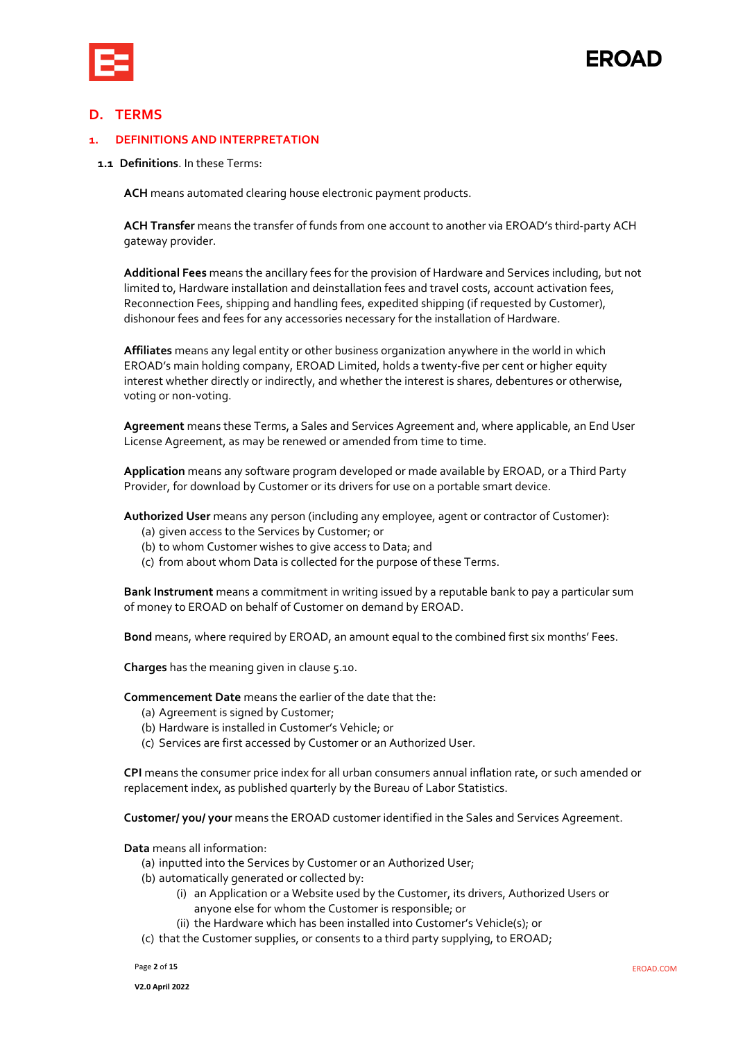

# **FROAD**

## **D. TERMS**

#### **1. DEFINITIONS AND INTERPRETATION**

#### **1.1 Definitions**. In these Terms:

**ACH** means automated clearing house electronic payment products.

**ACH Transfer** means the transfer of funds from one account to another via EROAD's third-party ACH gateway provider.

**Additional Fees** means the ancillary fees for the provision of Hardware and Services including, but not limited to, Hardware installation and deinstallation fees and travel costs, account activation fees, Reconnection Fees, shipping and handling fees, expedited shipping (if requested by Customer), dishonour fees and fees for any accessories necessary for the installation of Hardware.

**Affiliates** means any legal entity or other business organization anywhere in the world in which EROAD's main holding company, EROAD Limited, holds a twenty-five per cent or higher equity interest whether directly or indirectly, and whether the interest is shares, debentures or otherwise, voting or non-voting.

**Agreement** means these Terms, a Sales and Services Agreement and, where applicable, an End User License Agreement, as may be renewed or amended from time to time.

**Application** means any software program developed or made available by EROAD, or a Third Party Provider, for download by Customer or its drivers for use on a portable smart device.

**Authorized User** means any person (including any employee, agent or contractor of Customer):

- (a) given access to the Services by Customer; or
- (b) to whom Customer wishes to give access to Data; and
- (c) from about whom Data is collected for the purpose of these Terms.

**Bank Instrument** means a commitment in writing issued by a reputable bank to pay a particular sum of money to EROAD on behalf of Customer on demand by EROAD.

**Bond** means, where required by EROAD, an amount equal to the combined first six months' Fees.

**Charges** has the meaning given in claus[e 5.10.](#page-8-0)

**Commencement Date** means the earlier of the date that the:

- (a) Agreement is signed by Customer;
- (b) Hardware is installed in Customer's Vehicle; or
- (c) Services are first accessed by Customer or an Authorized User.

**CPI** means the consumer price index for all urban consumers annual inflation rate, or such amended or replacement index, as published quarterly by the Bureau of Labor Statistics.

**Customer/ you/ your** means the EROAD customer identified in the Sales and Services Agreement.

**Data** means all information:

(a) inputted into the Services by Customer or an Authorized User;

- (b) automatically generated or collected by:
	- (i) an Application or a Website used by the Customer, its drivers, Authorized Users or anyone else for whom the Customer is responsible; or
	- (ii) the Hardware which has been installed into Customer's Vehicle(s); or

(c) that the Customer supplies, or consents to a third party supplying, to EROAD;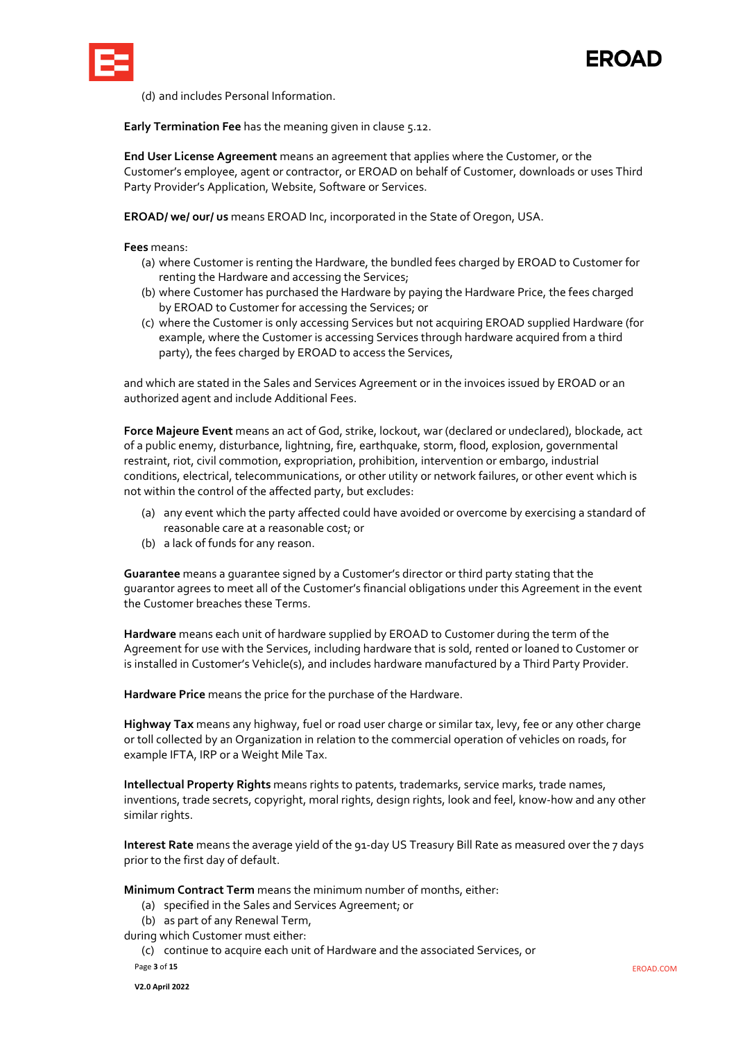

# **FROAD**

(d) and includes Personal Information.

**Early Termination Fee** has the meaning given in clause [5.12.](#page-9-0)

**End User License Agreement** means an agreement that applies where the Customer, or the Customer's employee, agent or contractor, or EROAD on behalf of Customer, downloads or uses Third Party Provider's Application, Website, Software or Services.

**EROAD/ we/ our/ us** means EROAD Inc, incorporated in the State of Oregon, USA.

**Fees** means:

- (a) where Customer is renting the Hardware, the bundled fees charged by EROAD to Customer for renting the Hardware and accessing the Services;
- (b) where Customer has purchased the Hardware by paying the Hardware Price, the fees charged by EROAD to Customer for accessing the Services; or
- (c) where the Customer is only accessing Services but not acquiring EROAD supplied Hardware (for example, where the Customer is accessing Services through hardware acquired from a third party), the fees charged by EROAD to access the Services,

and which are stated in the Sales and Services Agreement or in the invoices issued by EROAD or an authorized agent and include Additional Fees.

**Force Majeure Event** means an act of God, strike, lockout, war (declared or undeclared), blockade, act of a public enemy, disturbance, lightning, fire, earthquake, storm, flood, explosion, governmental restraint, riot, civil commotion, expropriation, prohibition, intervention or embargo, industrial conditions, electrical, telecommunications, or other utility or network failures, or other event which is not within the control of the affected party, but excludes:

- (a) any event which the party affected could have avoided or overcome by exercising a standard of reasonable care at a reasonable cost; or
- (b) a lack of funds for any reason.

**Guarantee** means a guarantee signed by a Customer's director or third party stating that the guarantor agrees to meet all of the Customer's financial obligations under this Agreement in the event the Customer breaches these Terms.

**Hardware** means each unit of hardware supplied by EROAD to Customer during the term of the Agreement for use with the Services, including hardware that is sold, rented or loaned to Customer or is installed in Customer's Vehicle(s), and includes hardware manufactured by a Third Party Provider.

**Hardware Price** means the price for the purchase of the Hardware.

**Highway Tax** means any highway, fuel or road user charge or similar tax, levy, fee or any other charge or toll collected by an Organization in relation to the commercial operation of vehicles on roads, for example IFTA, IRP or a Weight Mile Tax.

**Intellectual Property Rights** means rights to patents, trademarks, service marks, trade names, inventions, trade secrets, copyright, moral rights, design rights, look and feel, know-how and any other similar rights.

**Interest Rate** means the average yield of the 91-day US Treasury Bill Rate as measured over the 7 days prior to the first day of default.

**Minimum Contract Term** means the minimum number of months, either:

- (a) specified in the Sales and Services Agreement; or
- (b) as part of any Renewal Term,

during which Customer must either:

Page **3** of **15** EROAD.COM (c) continue to acquire each unit of Hardware and the associated Services, or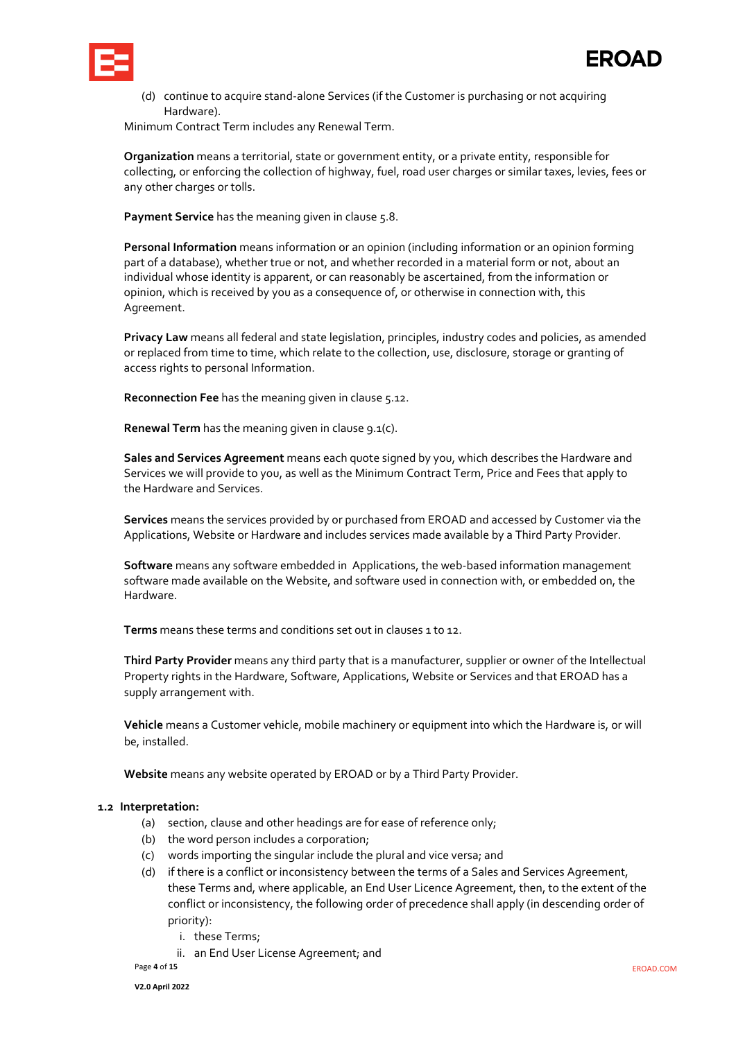

(d) continue to acquire stand-alone Services (if the Customer is purchasing or not acquiring Hardware).

Minimum Contract Term includes any Renewal Term.

**Organization** means a territorial, state or government entity, or a private entity, responsible for collecting, or enforcing the collection of highway, fuel, road user charges or similar taxes, levies, fees or any other charges or tolls.

Payment Service has the meaning given in claus[e 5.8](#page-8-1)[.](http://www.eroad.co.nz/nz/eroads-terms/#_bookmark4)

**Personal Information** means information or an opinion (including information or an opinion forming part of a database), whether true or not, and whether recorded in a material form or not, about an individual whose identity is apparent, or can reasonably be ascertained, from the information or opinion, which is received by you as a consequence of, or otherwise in connection with, this Agreement.

**Privacy Law** means all federal and state legislation, principles, industry codes and policies, as amended or replaced from time to time, which relate to the collection, use, disclosure, storage or granting of access rights to personal Information.

**Reconnection Fee** has the meaning given in clause [5.12.](#page-9-1)

**Renewal Term** has the meaning given in clause [9.1](#page-11-0)[\(c\).](#page-11-1)

**Sales and Services Agreement** means each quote signed by you, which describes the Hardware and Services we will provide to you, as well as the Minimum Contract Term, Price and Fees that apply to the Hardware and Services.

**Services** means the services provided by or purchased from EROAD and accessed by Customer via the Applications, Website or Hardware and includes services made available by a Third Party Provider.

**Software** means any software embedded in Applications, the web-based information management software made available on the Website, and software used in connection with, or embedded on, the Hardware.

**Terms** means these terms and conditions set out in clauses 1 to 12.

**Third Party Provider** means any third party that is a manufacturer, supplier or owner of the Intellectual Property rights in the Hardware, Software, Applications, Website or Services and that EROAD has a supply arrangement with.

**Vehicle** means a Customer vehicle, mobile machinery or equipment into which the Hardware is, or will be, installed.

**Website** means any website operated by EROAD or by a Third Party Provider.

#### **1.2 Interpretation:**

- (a) section, clause and other headings are for ease of reference only;
- (b) the word person includes a corporation;
- (c) words importing the singular include the plural and vice versa; and
- (d) if there is a conflict or inconsistency between the terms of a Sales and Services Agreement, these Terms and, where applicable, an End User Licence Agreement, then, to the extent of the conflict or inconsistency, the following order of precedence shall apply (in descending order of priority):
	- i. these Terms;
	- ii. an End User License Agreement; and

Page **4** of **15** EROAD.COM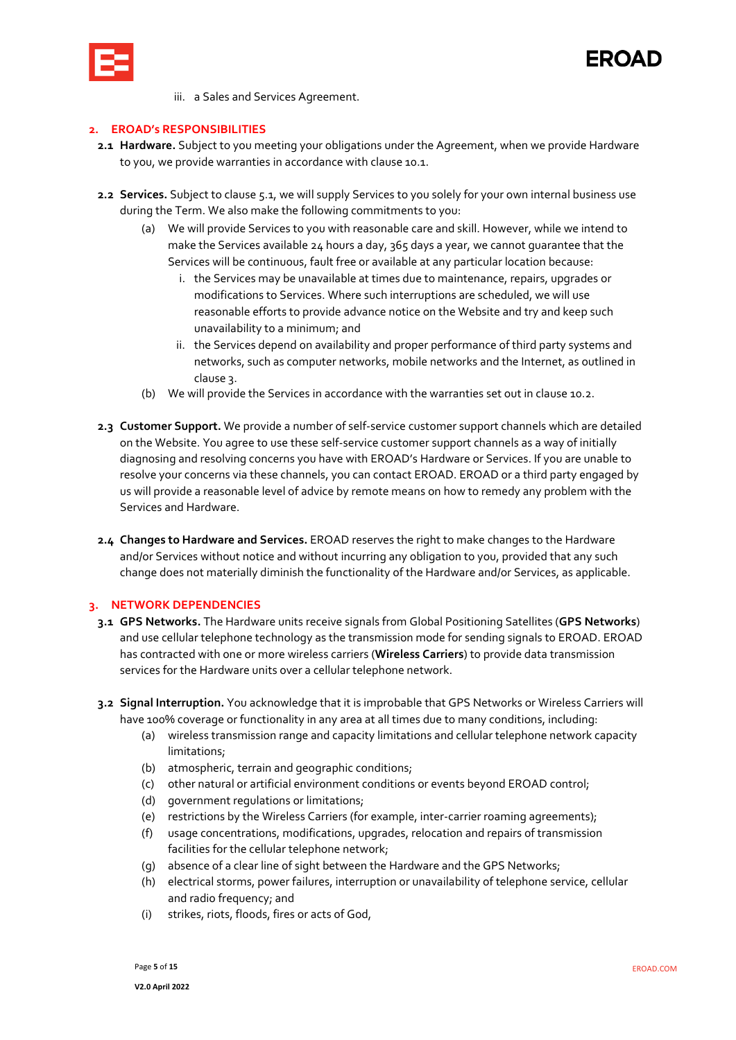



iii. a Sales and Services Agreement.

### **2. EROAD's RESPONSIBILITIES**

- **2.1 Hardware.** Subject to you meeting your obligations under the Agreement, when we provide Hardware to you, we provide warranties in accordance with clause [10.1.](#page-12-0)
- **2.2 Services.** Subject to clause [5.1,](#page-7-0) we will supply Services to you solely for your own internal business use during the Term. We also make the following commitments to you:
	- (a) We will provide Services to you with reasonable care and skill. However, while we intend to make the Services available 24 hours a day, 365 days a year, we cannot guarantee that the Services will be continuous, fault free or available at any particular location because:
		- i. the Services may be unavailable at times due to maintenance, repairs, upgrades or modifications to Services. Where such interruptions are scheduled, we will use reasonable efforts to provide advance notice on the Website and try and keep such unavailability to a minimum; and
		- ii. the Services depend on availability and proper performance of third party systems and networks, such as computer networks, mobile networks and the Internet, as outlined in clause [3.](#page-4-0)
	- (b) We will provide the Services in accordance with the warranties set out in clause [10.2.](#page-12-1)
- **2.3 Customer Support.** We provide a number of self-service customer support channels which are detailed on the Website. You agree to use these self-service customer support channels as a way of initially diagnosing and resolving concerns you have with EROAD's Hardware or Services. If you are unable to resolve your concerns via these channels, you can contact EROAD. EROAD or a third party engaged by us will provide a reasonable level of advice by remote means on how to remedy any problem with the Services and Hardware.
- **2.4 Changes to Hardware and Services.** EROAD reserves the right to make changes to the Hardware and/or Services without notice and without incurring any obligation to you, provided that any such change does not materially diminish the functionality of the Hardware and/or Services, as applicable.

#### <span id="page-4-0"></span>**3. NETWORK DEPENDENCIES**

- **3.1 GPS Networks.** The Hardware units receive signals from Global Positioning Satellites (**GPS Networks**) and use cellular telephone technology as the transmission mode for sending signals to EROAD. EROAD has contracted with one or more wireless carriers (**Wireless Carriers**) to provide data transmission services for the Hardware units over a cellular telephone network.
- **3.2 Signal Interruption.** You acknowledge that it is improbable that GPS Networks or Wireless Carriers will have 100% coverage or functionality in any area at all times due to many conditions, including:
	- (a) wireless transmission range and capacity limitations and cellular telephone network capacity limitations;
	- (b) atmospheric, terrain and geographic conditions;
	- (c) other natural or artificial environment conditions or events beyond EROAD control;
	- (d) government regulations or limitations;
	- (e) restrictions by the Wireless Carriers (for example, inter-carrier roaming agreements);
	- (f) usage concentrations, modifications, upgrades, relocation and repairs of transmission facilities for the cellular telephone network;
	- (g) absence of a clear line of sight between the Hardware and the GPS Networks;
	- (h) electrical storms, power failures, interruption or unavailability of telephone service, cellular and radio frequency; and
	- (i) strikes, riots, floods, fires or acts of God,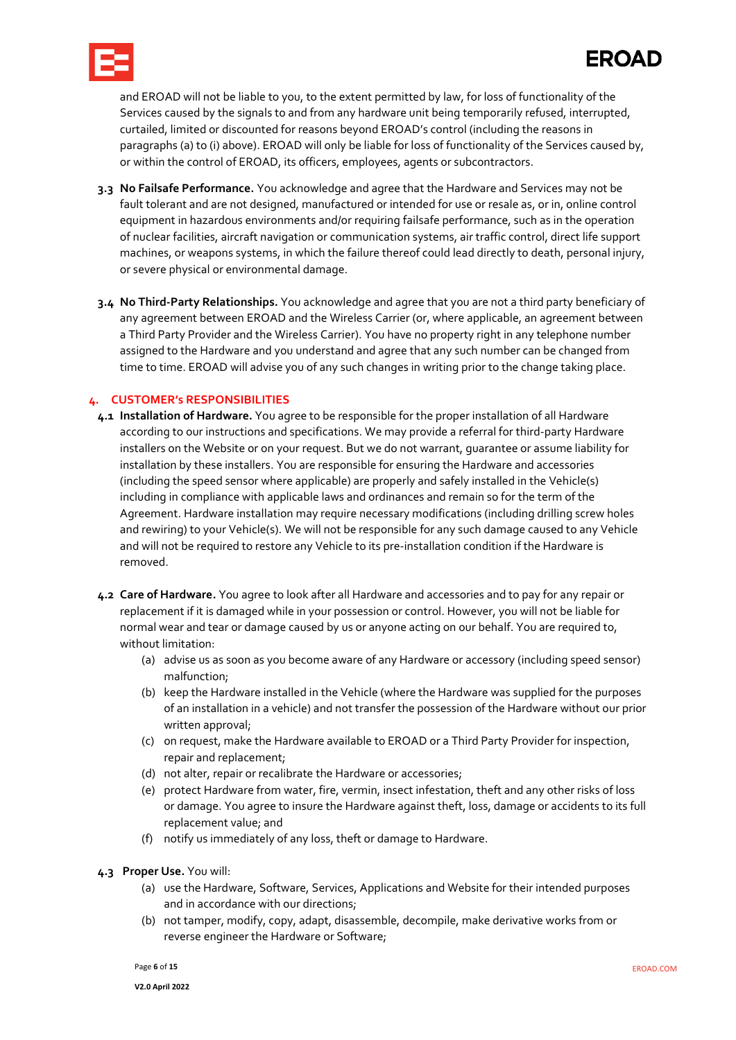

## **EROAD**

and EROAD will not be liable to you, to the extent permitted by law, for loss of functionality of the Services caused by the signals to and from any hardware unit being temporarily refused, interrupted, curtailed, limited or discounted for reasons beyond EROAD's control (including the reasons in paragraphs (a) to (i) above). EROAD will only be liable for loss of functionality of the Services caused by, or within the control of EROAD, its officers, employees, agents or subcontractors.

- **3.3 No Failsafe Performance.** You acknowledge and agree that the Hardware and Services may not be fault tolerant and are not designed, manufactured or intended for use or resale as, or in, online control equipment in hazardous environments and/or requiring failsafe performance, such as in the operation of nuclear facilities, aircraft navigation or communication systems, air traffic control, direct life support machines, or weapons systems, in which the failure thereof could lead directly to death, personal injury, or severe physical or environmental damage.
- **3.4 No Third-Party Relationships.** You acknowledge and agree that you are not a third party beneficiary of any agreement between EROAD and the Wireless Carrier (or, where applicable, an agreement between a Third Party Provider and the Wireless Carrier). You have no property right in any telephone number assigned to the Hardware and you understand and agree that any such number can be changed from time to time. EROAD will advise you of any such changes in writing prior to the change taking place.

#### **4. CUSTOMER's RESPONSIBILITIES**

- **4.1 Installation of Hardware.** You agree to be responsible for the proper installation of all Hardware according to our instructions and specifications. We may provide a referral for third-party Hardware installers on the Website or on your request. But we do not warrant, guarantee or assume liability for installation by these installers. You are responsible for ensuring the Hardware and accessories (including the speed sensor where applicable) are properly and safely installed in the Vehicle(s) including in compliance with applicable laws and ordinances and remain so for the term of the Agreement. Hardware installation may require necessary modifications (including drilling screw holes and rewiring) to your Vehicle(s). We will not be responsible for any such damage caused to any Vehicle and will not be required to restore any Vehicle to its pre-installation condition if the Hardware is removed.
- **4.2 Care of Hardware.** You agree to look after all Hardware and accessories and to pay for any repair or replacement if it is damaged while in your possession or control. However, you will not be liable for normal wear and tear or damage caused by us or anyone acting on our behalf. You are required to, without limitation:
	- (a) advise us as soon as you become aware of any Hardware or accessory (including speed sensor) malfunction;
	- (b) keep the Hardware installed in the Vehicle (where the Hardware was supplied for the purposes of an installation in a vehicle) and not transfer the possession of the Hardware without our prior written approval;
	- (c) on request, make the Hardware available to EROAD or a Third Party Provider for inspection, repair and replacement;
	- (d) not alter, repair or recalibrate the Hardware or accessories;
	- (e) protect Hardware from water, fire, vermin, insect infestation, theft and any other risks of loss or damage. You agree to insure the Hardware against theft, loss, damage or accidents to its full replacement value; and
	- (f) notify us immediately of any loss, theft or damage to Hardware.
- <span id="page-5-0"></span>**4.3 Proper Use.** You will:
	- (a) use the Hardware, Software, Services, Applications and Website for their intended purposes and in accordance with our directions;
	- (b) not tamper, modify, copy, adapt, disassemble, decompile, make derivative works from or reverse engineer the Hardware or Software;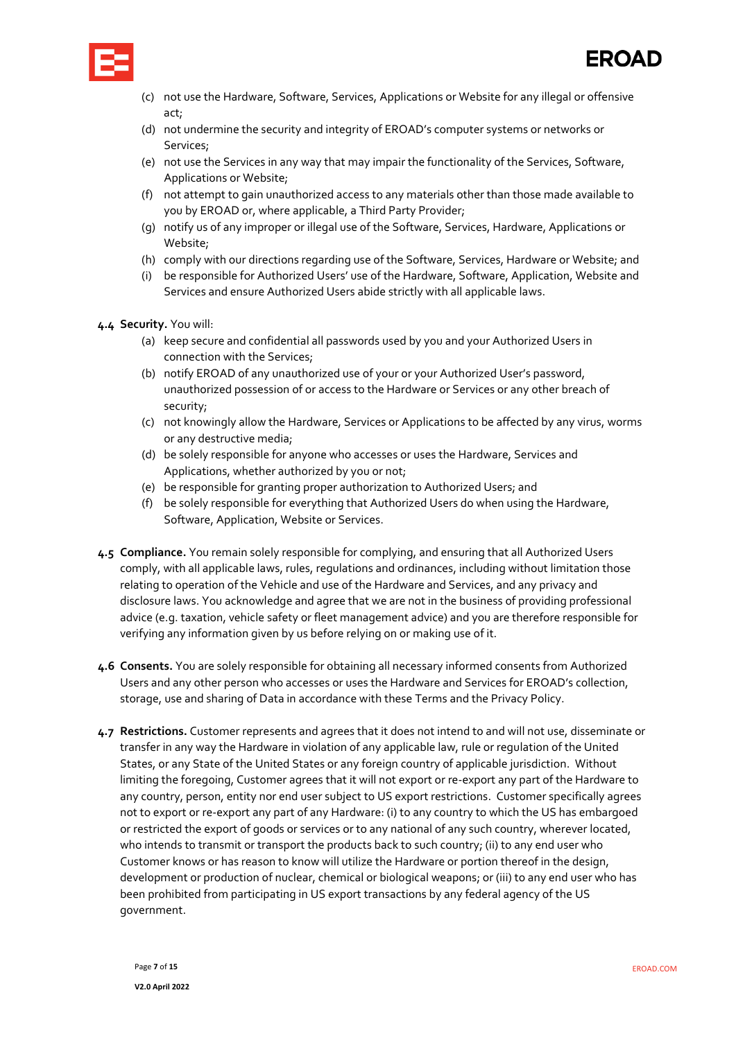



- (c) not use the Hardware, Software, Services, Applications or Website for any illegal or offensive act;
- (d) not undermine the security and integrity of EROAD's computer systems or networks or Services;
- (e) not use the Services in any way that may impair the functionality of the Services, Software, Applications or Website;
- (f) not attempt to gain unauthorized access to any materials other than those made available to you by EROAD or, where applicable, a Third Party Provider;
- (g) notify us of any improper or illegal use of the Software, Services, Hardware, Applications or Website;
- (h) comply with our directions regarding use of the Software, Services, Hardware or Website; and
- (i) be responsible for Authorized Users' use of the Hardware, Software, Application, Website and Services and ensure Authorized Users abide strictly with all applicable laws.
- **4.4 Security.** You will:
	- (a) keep secure and confidential all passwords used by you and your Authorized Users in connection with the Services;
	- (b) notify EROAD of any unauthorized use of your or your Authorized User's password, unauthorized possession of or access to the Hardware or Services or any other breach of security;
	- (c) not knowingly allow the Hardware, Services or Applications to be affected by any virus, worms or any destructive media;
	- (d) be solely responsible for anyone who accesses or uses the Hardware, Services and Applications, whether authorized by you or not;
	- (e) be responsible for granting proper authorization to Authorized Users; and
	- (f) be solely responsible for everything that Authorized Users do when using the Hardware, Software, Application, Website or Services.
- **4.5 Compliance.** You remain solely responsible for complying, and ensuring that all Authorized Users comply, with all applicable laws, rules, regulations and ordinances, including without limitation those relating to operation of the Vehicle and use of the Hardware and Services, and any privacy and disclosure laws. You acknowledge and agree that we are not in the business of providing professional advice (e.g. taxation, vehicle safety or fleet management advice) and you are therefore responsible for verifying any information given by us before relying on or making use of it.
- **4.6 Consents.** You are solely responsible for obtaining all necessary informed consents from Authorized Users and any other person who accesses or uses the Hardware and Services for EROAD's collection, storage, use and sharing of Data in accordance with these Terms and the Privacy Policy.
- <span id="page-6-0"></span>**4.7 Restrictions.** Customer represents and agrees that it does not intend to and will not use, disseminate or transfer in any way the Hardware in violation of any applicable law, rule or regulation of the United States, or any State of the United States or any foreign country of applicable jurisdiction. Without limiting the foregoing, Customer agrees that it will not export or re-export any part of the Hardware to any country, person, entity nor end user subject to US export restrictions. Customer specifically agrees not to export or re-export any part of any Hardware: (i) to any country to which the US has embargoed or restricted the export of goods or services or to any national of any such country, wherever located, who intends to transmit or transport the products back to such country; (ii) to any end user who Customer knows or has reason to know will utilize the Hardware or portion thereof in the design, development or production of nuclear, chemical or biological weapons; or (iii) to any end user who has been prohibited from participating in US export transactions by any federal agency of the US government.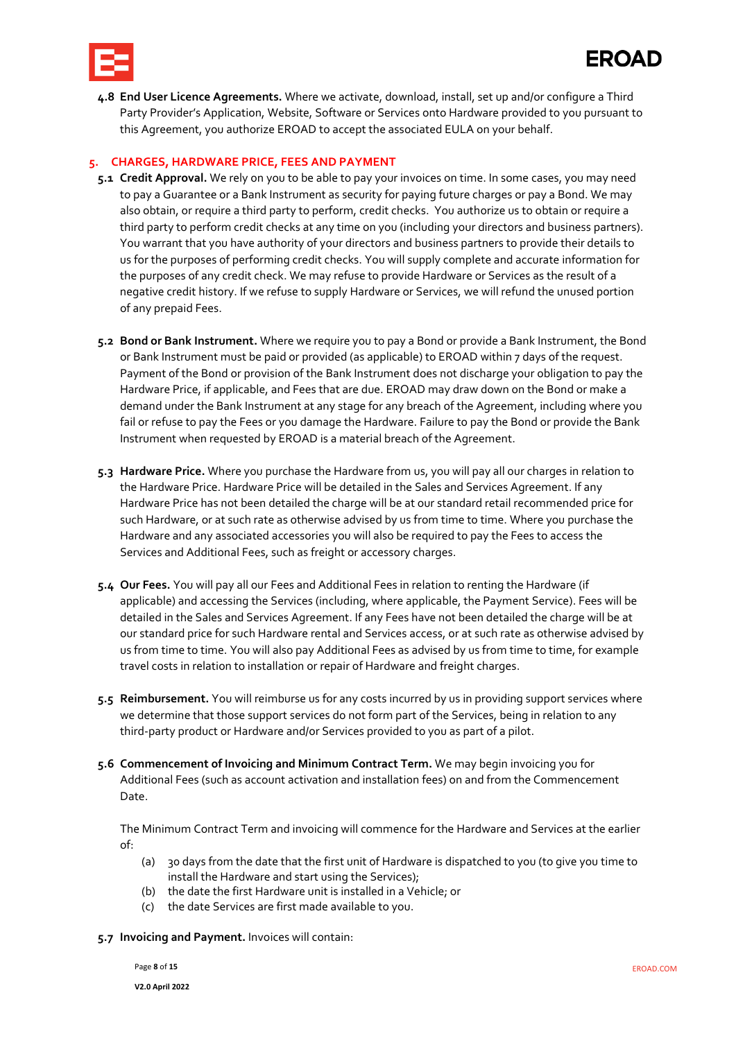

**4.8 End User Licence Agreements.** Where we activate, download, install, set up and/or configure a Third Party Provider's Application, Website, Software or Services onto Hardware provided to you pursuant to this Agreement, you authorize EROAD to accept the associated EULA on your behalf.

### **5. CHARGES, HARDWARE PRICE, FEES AND PAYMENT**

- <span id="page-7-0"></span>**5.1 Credit Approval.** We rely on you to be able to pay your invoices on time. In some cases, you may need to pay a Guarantee or a Bank Instrument as security for paying future charges or pay a Bond. We may also obtain, or require a third party to perform, credit checks. You authorize us to obtain or require a third party to perform credit checks at any time on you (including your directors and business partners). You warrant that you have authority of your directors and business partners to provide their details to us for the purposes of performing credit checks. You will supply complete and accurate information for the purposes of any credit check. We may refuse to provide Hardware or Services as the result of a negative credit history. If we refuse to supply Hardware or Services, we will refund the unused portion of any prepaid Fees.
- **5.2 Bond or Bank Instrument.** Where we require you to pay a Bond or provide a Bank Instrument, the Bond or Bank Instrument must be paid or provided (as applicable) to EROAD within 7 days of the request. Payment of the Bond or provision of the Bank Instrument does not discharge your obligation to pay the Hardware Price, if applicable, and Fees that are due. EROAD may draw down on the Bond or make a demand under the Bank Instrument at any stage for any breach of the Agreement, including where you fail or refuse to pay the Fees or you damage the Hardware. Failure to pay the Bond or provide the Bank Instrument when requested by EROAD is a material breach of the Agreement.
- **5.3 Hardware Price.** Where you purchase the Hardware from us, you will pay all our charges in relation to the Hardware Price. Hardware Price will be detailed in the Sales and Services Agreement. If any Hardware Price has not been detailed the charge will be at our standard retail recommended price for such Hardware, or at such rate as otherwise advised by us from time to time. Where you purchase the Hardware and any associated accessories you will also be required to pay the Fees to access the Services and Additional Fees, such as freight or accessory charges.
- **5.4 Our Fees.** You will pay all our Fees and Additional Fees in relation to renting the Hardware (if applicable) and accessing the Services (including, where applicable, the Payment Service). Fees will be detailed in the Sales and Services Agreement. If any Fees have not been detailed the charge will be at our standard price for such Hardware rental and Services access, or at such rate as otherwise advised by us from time to time. You will also pay Additional Fees as advised by us from time to time, for example travel costs in relation to installation or repair of Hardware and freight charges.
- **5.5 Reimbursement.** You will reimburse us for any costs incurred by us in providing support services where we determine that those support services do not form part of the Services, being in relation to any third-party product or Hardware and/or Services provided to you as part of a pilot.
- **5.6 Commencement of Invoicing and Minimum Contract Term.** We may begin invoicing you for Additional Fees (such as account activation and installation fees) on and from the Commencement Date.

The Minimum Contract Term and invoicing will commence for the Hardware and Services at the earlier of:

- (a) 30 days from the date that the first unit of Hardware is dispatched to you (to give you time to install the Hardware and start using the Services);
- (b) the date the first Hardware unit is installed in a Vehicle; or
- (c) the date Services are first made available to you.
- <span id="page-7-1"></span>**5.7 Invoicing and Payment.** Invoices will contain:

Page **8** of **15** EROAD.COM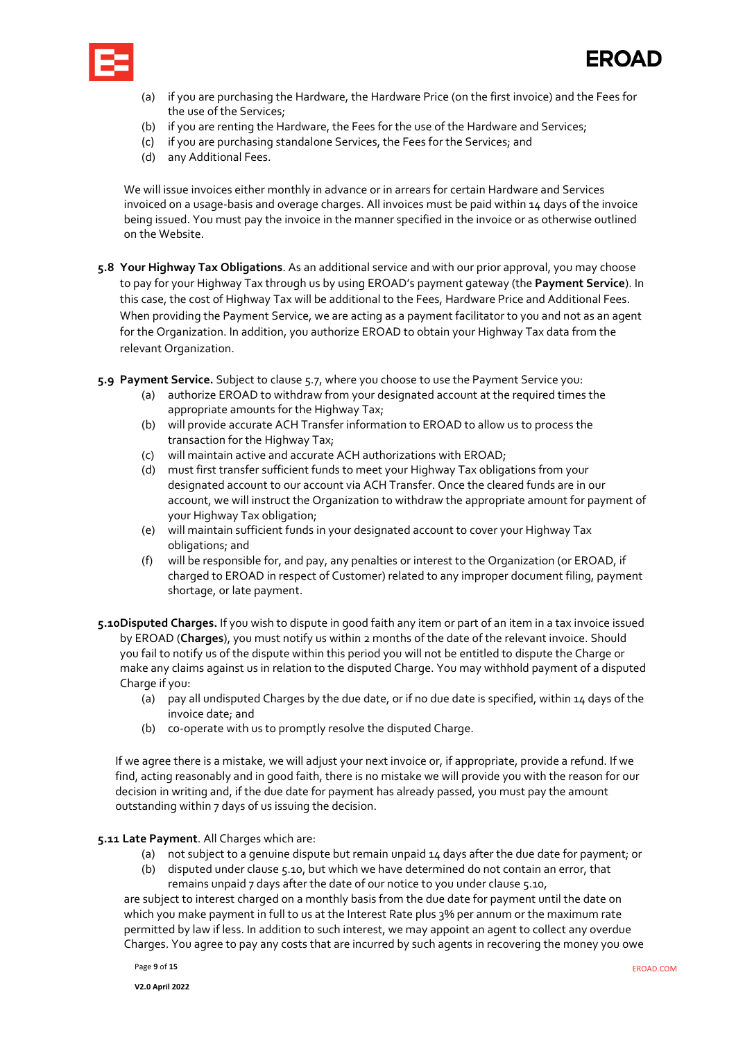



- (a) if you are purchasing the Hardware, the Hardware Price (on the first invoice) and the Fees for the use of the Services;
- (b) if you are renting the Hardware, the Fees for the use of the Hardware and Services;
- (c) if you are purchasing standalone Services, the Fees for the Services; and
- (d) any Additional Fees.

We will issue invoices either monthly in advance or in arrears for certain Hardware and Services invoiced on a usage-basis and overage charges. All invoices must be paid within 14 days of the invoice being issued. You must pay the invoice in the manner specified in the invoice or as otherwise outlined on the Website.

- **5.8 Your Highway Tax Obligations**. As an additional service and with our prior approval, you may choose to pay for your Highway Tax through us by using EROAD's payment gateway (the **Payment Service**). In this case, the cost of Highway Tax will be additional to the Fees, Hardware Price and Additional Fees. When providing the Payment Service, we are acting as a payment facilitator to you and not as an agent for the Organization. In addition, you authorize EROAD to obtain your Highway Tax data from the relevant Organization.
- <span id="page-8-2"></span><span id="page-8-1"></span>**5.9 Payment Service.** Subject to claus[e 5.7,](#page-8-2) where you choose to use the Payment Service you:
	- (a) authorize EROAD to withdraw from your designated account at the required times the appropriate amounts for the Highway Tax;
	- (b) will provide accurate ACH Transfer information to EROAD to allow us to process the transaction for the Highway Tax;
	- (c) will maintain active and accurate ACH authorizations with EROAD;
	- (d) must first transfer sufficient funds to meet your Highway Tax obligations from your designated account to our account via ACH Transfer. Once the cleared funds are in our account, we will instruct the Organization to withdraw the appropriate amount for payment of your Highway Tax obligation;
	- (e) will maintain sufficient funds in your designated account to cover your Highway Tax obligations; and
	- (f) will be responsible for, and pay, any penalties or interest to the Organization (or EROAD, if charged to EROAD in respect of Customer) related to any improper document filing, payment shortage, or late payment.
- <span id="page-8-0"></span>**5.10Disputed Charges.** If you wish to dispute in good faith any item or part of an item in a tax invoice issued by EROAD (**Charges**), you must notify us within 2 months of the date of the relevant invoice. Should you fail to notify us of the dispute within this period you will not be entitled to dispute the Charge or make any claims against us in relation to the disputed Charge. You may withhold payment of a disputed Charge if you:
	- (a) pay all undisputed Charges by the due date, or if no due date is specified, within 14 days of the invoice date; and
	- (b) co-operate with us to promptly resolve the disputed Charge.

If we agree there is a mistake, we will adjust your next invoice or, if appropriate, provide a refund. If we find, acting reasonably and in good faith, there is no mistake we will provide you with the reason for our decision in writing and, if the due date for payment has already passed, you must pay the amount outstanding within 7 days of us issuing the decision.

#### <span id="page-8-3"></span>**5.11 Late Payment**. All Charges which are:

- (a) not subject to a genuine dispute but remain unpaid 14 days after the due date for payment; or
- (b) disputed under claus[e 5.10,](#page-8-0) but which we have determined do not contain an error, that remains unpaid 7 days after the date of our notice to you under claus[e 5.10,](#page-8-0)

are subject to interest charged on a monthly basis from the due date for payment until the date on which you make payment in full to us at the Interest Rate plus 3% per annum or the maximum rate permitted by law if less. In addition to such interest, we may appoint an agent to collect any overdue Charges. You agree to pay any costs that are incurred by such agents in recovering the money you owe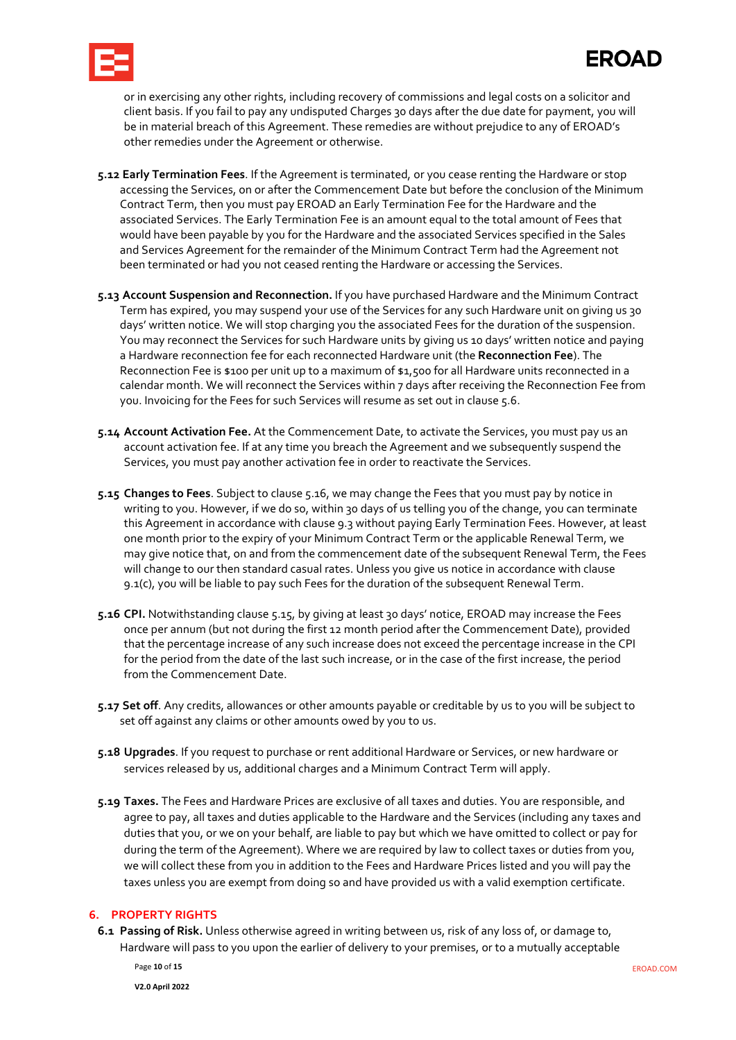

or in exercising any other rights, including recovery of commissions and legal costs on a solicitor and client basis. If you fail to pay any undisputed Charges 30 days after the due date for payment, you will be in material breach of this Agreement. These remedies are without prejudice to any of EROAD's other remedies under the Agreement or otherwise.

- <span id="page-9-0"></span>**5.12 Early Termination Fees**. If the Agreement is terminated, or you cease renting the Hardware or stop accessing the Services, on or after the Commencement Date but before the conclusion of the Minimum Contract Term, then you must pay EROAD an Early Termination Fee for the Hardware and the associated Services. The Early Termination Fee is an amount equal to the total amount of Fees that would have been payable by you for the Hardware and the associated Services specified in the Sales and Services Agreement for the remainder of the Minimum Contract Term had the Agreement not been terminated or had you not ceased renting the Hardware or accessing the Services.
- <span id="page-9-1"></span>**5.13 Account Suspension and Reconnection.** If you have purchased Hardware and the Minimum Contract Term has expired, you may suspend your use of the Services for any such Hardware unit on giving us 30 days' written notice. We will stop charging you the associated Fees for the duration of the suspension. You may reconnect the Services for such Hardware units by giving us 10 days' written notice and paying a Hardware reconnection fee for each reconnected Hardware unit (the **Reconnection Fee**). The Reconnection Fee is \$100 per unit up to a maximum of \$1,500 for all Hardware units reconnected in a calendar month. We will reconnect the Services within 7 days after receiving the Reconnection Fee from you. Invoicing for the Fees for such Services will resume as set out in claus[e 5.6.](#page-7-1)
- **5.14 Account Activation Fee.** At the Commencement Date, to activate the Services, you must pay us an account activation fee. If at any time you breach the Agreement and we subsequently suspend the Services, you must pay another activation fee in order to reactivate the Services.
- <span id="page-9-3"></span>**5.15 Changes to Fees**. Subject to clause [5.16,](#page-9-2) we may change the Fees that you must pay by notice in writing to you. However, if we do so, within 30 days of us telling you of the change, you can terminate this Agreement in accordance with claus[e 9.3](#page-11-2) without paying Early Termination Fees. However, at least one month prior to the expiry of your Minimum Contract Term or the applicable Renewal Term, we may give notice that, on and from the commencement date of the subsequent Renewal Term, the Fees will change to our then standard casual rates. Unless you give us notice in accordance with clause 9.1(c), you will be liable to pay such Fees for the duration of the subsequent Renewal Term.
- <span id="page-9-2"></span>**5.16 CPI.** Notwithstanding claus[e 5.15,](#page-9-3) by giving at least 30 days' notice, EROAD may increase the Fees once per annum (but not during the first 12 month period after the Commencement Date), provided that the percentage increase of any such increase does not exceed the percentage increase in the CPI for the period from the date of the last such increase, or in the case of the first increase, the period from the Commencement Date.
- <span id="page-9-4"></span>**5.17 Set off**. Any credits, allowances or other amounts payable or creditable by us to you will be subject to set off against any claims or other amounts owed by you to us.
- **5.18 Upgrades**. If you request to purchase or rent additional Hardware or Services, or new hardware or services released by us, additional charges and a Minimum Contract Term will apply.
- <span id="page-9-5"></span>**5.19 Taxes.** The Fees and Hardware Prices are exclusive of all taxes and duties. You are responsible, and agree to pay, all taxes and duties applicable to the Hardware and the Services (including any taxes and duties that you, or we on your behalf, are liable to pay but which we have omitted to collect or pay for during the term of the Agreement). Where we are required by law to collect taxes or duties from you, we will collect these from you in addition to the Fees and Hardware Prices listed and you will pay the taxes unless you are exempt from doing so and have provided us with a valid exemption certificate.

### **6. PROPERTY RIGHTS**

**6.1 Passing of Risk.** Unless otherwise agreed in writing between us, risk of any loss of, or damage to, Hardware will pass to you upon the earlier of delivery to your premises, or to a mutually acceptable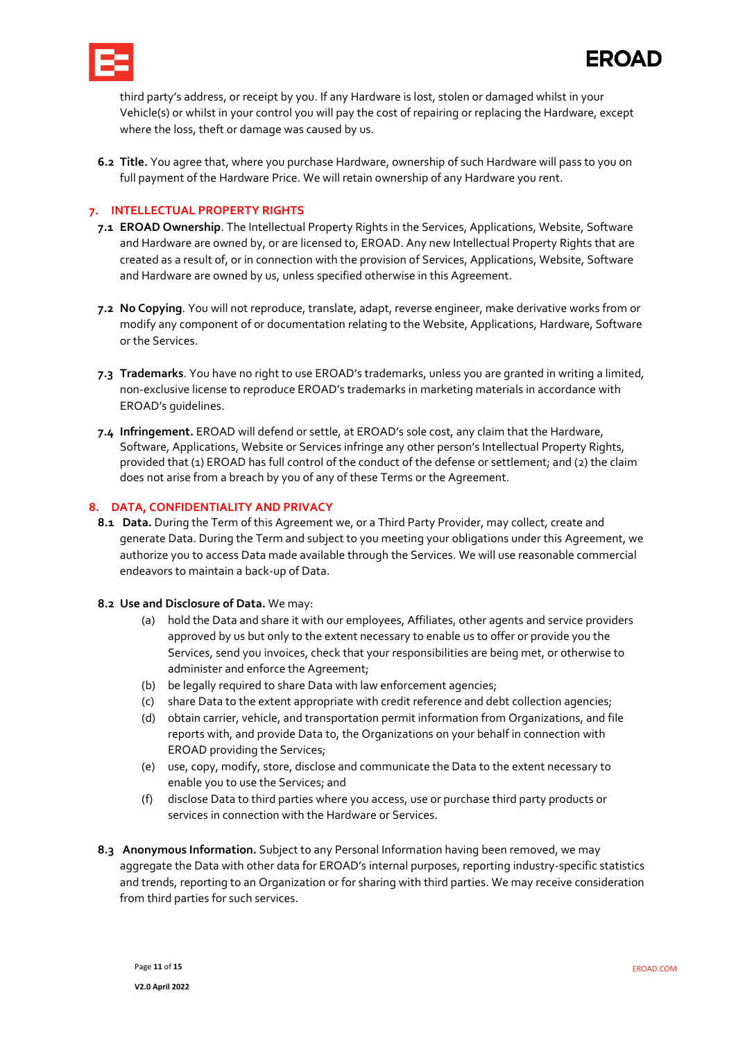

third party's address, or receipt by you. If any Hardware is lost, stolen or damaged whilst in your Vehicle(s) or whilst in your control you will pay the cost of repairing or replacing the Hardware, except where the loss, theft or damage was caused by us.

**6.2 Title.** You agree that, where you purchase Hardware, ownership of such Hardware will pass to you on full payment of the Hardware Price. We will retain ownership of any Hardware you rent.

#### <span id="page-10-0"></span>**7. INTELLECTUAL PROPERTY RIGHTS**

- **7.1 EROAD Ownership**. The Intellectual Property Rights in the Services, Applications, Website, Software and Hardware are owned by, or are licensed to, EROAD. Any new Intellectual Property Rights that are created as a result of, or in connection with the provision of Services, Applications, Website, Software and Hardware are owned by us, unless specified otherwise in this Agreement.
- **7.2 No Copying**. You will not reproduce, translate, adapt, reverse engineer, make derivative works from or modify any component of or documentation relating to the Website, Applications, Hardware, Software or the Services.
- **7.3 Trademarks**. You have no right to use EROAD's trademarks, unless you are granted in writing a limited, non-exclusive license to reproduce EROAD's trademarks in marketing materials in accordance with EROAD's guidelines.
- **7.4 Infringement.** EROAD will defend or settle, at EROAD's sole cost, any claim that the Hardware, Software, Applications, Website or Services infringe any other person's Intellectual Property Rights, provided that (1) EROAD has full control of the conduct of the defense or settlement; and (2) the claim does not arise from a breach by you of any of these Terms or the Agreement.

#### **8. DATA, CONFIDENTIALITY AND PRIVACY**

- **8.1 Data.** During the Term of this Agreement we, or a Third Party Provider, may collect, create and generate Data. During the Term and subject to you meeting your obligations under this Agreement, we authorize you to access Data made available through the Services. We will use reasonable commercial endeavors to maintain a back-up of Data.
- <span id="page-10-1"></span>**8.2 Use and Disclosure of Data.** We may:
	- (a) hold the Data and share it with our employees, Affiliates, other agents and service providers approved by us but only to the extent necessary to enable us to offer or provide you the Services, send you invoices, check that your responsibilities are being met, or otherwise to administer and enforce the Agreement;
	- (b) be legally required to share Data with law enforcement agencies;
	- (c) share Data to the extent appropriate with credit reference and debt collection agencies;
	- (d) obtain carrier, vehicle, and transportation permit information from Organizations, and file reports with, and provide Data to, the Organizations on your behalf in connection with EROAD providing the Services;
	- (e) use, copy, modify, store, disclose and communicate the Data to the extent necessary to enable you to use the Services; and
	- (f) disclose Data to third parties where you access, use or purchase third party products or services in connection with the Hardware or Services.
- <span id="page-10-2"></span>**8.3 Anonymous Information.** Subject to any Personal Information having been removed, we may aggregate the Data with other data for EROAD's internal purposes, reporting industry-specific statistics and trends, reporting to an Organization or for sharing with third parties. We may receive consideration from third parties for such services.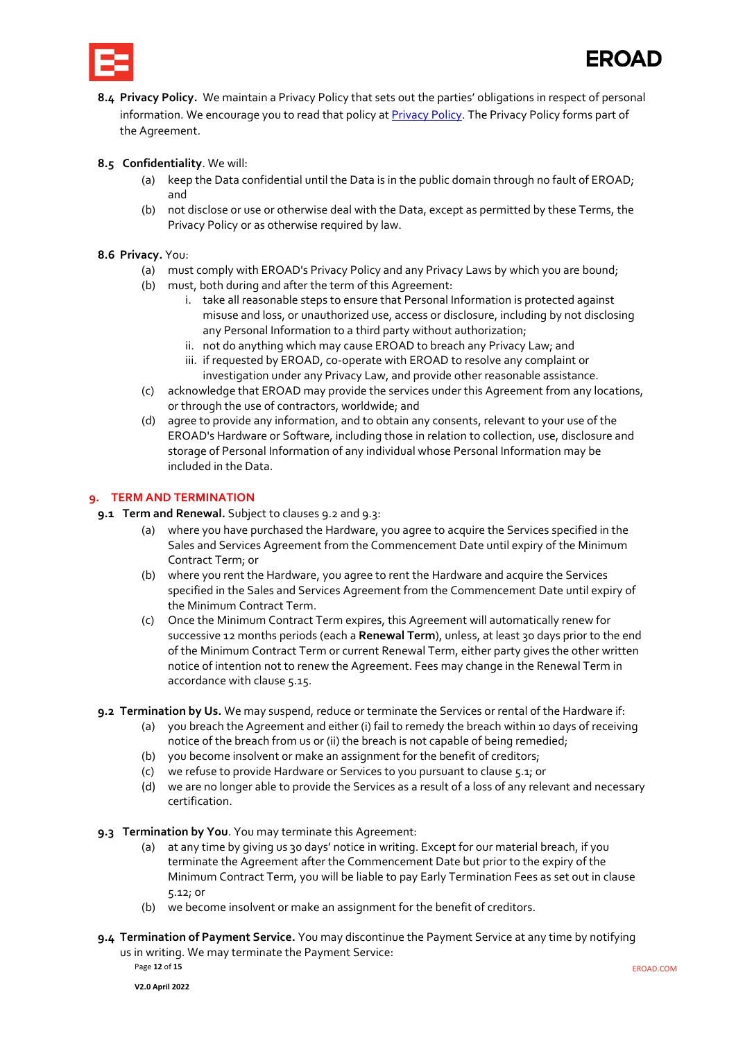

<span id="page-11-5"></span>**8.4 Privacy Policy.** We maintain a Privacy Policy that sets out the parties' obligations in respect of personal information. We encourage you to read that policy at [Privacy Policy.](https://www.eroad.com/us/privacy-policy/) The Privacy Policy forms part of the Agreement.

#### <span id="page-11-6"></span>**8.5 Confidentiality**. We will:

- (a) keep the Data confidential until the Data is in the public domain through no fault of EROAD; and
- (b) not disclose or use or otherwise deal with the Data, except as permitted by these Terms, the Privacy Policy or as otherwise required by law.

#### <span id="page-11-7"></span>**8.6 Privacy.** You:

- (a) must comply with EROAD's Privacy Policy and any Privacy Laws by which you are bound;
- (b) must, both during and after the term of this Agreement:
	- i. take all reasonable steps to ensure that Personal Information is protected against misuse and loss, or unauthorized use, access or disclosure, including by not disclosing any Personal Information to a third party without authorization;
	- ii. not do anything which may cause EROAD to breach any Privacy Law; and
	- iii. if requested by EROAD, co-operate with EROAD to resolve any complaint or investigation under any Privacy Law, and provide other reasonable assistance.
- (c) acknowledge that EROAD may provide the services under this Agreement from any locations, or through the use of contractors, worldwide; and
- (d) agree to provide any information, and to obtain any consents, relevant to your use of the EROAD's Hardware or Software, including those in relation to collection, use, disclosure and storage of Personal Information of any individual whose Personal Information may be included in the Data.

#### **9. TERM AND TERMINATION**

- <span id="page-11-3"></span><span id="page-11-1"></span><span id="page-11-0"></span>**9.1 Term and Renewal.** Subject to clause[s 9.2](#page-11-3) an[d 9.3:](#page-11-2)
	- (a) where you have purchased the Hardware, you agree to acquire the Services specified in the Sales and Services Agreement from the Commencement Date until expiry of the Minimum Contract Term; or
	- (b) where you rent the Hardware, you agree to rent the Hardware and acquire the Services specified in the Sales and Services Agreement from the Commencement Date until expiry of the Minimum Contract Term.
	- (c) Once the Minimum Contract Term expires, this Agreement will automatically renew for successive 12 months periods (each a **Renewal Term**), unless, at least 30 days prior to the end of the Minimum Contract Term or current Renewal Term, either party gives the other written notice of intention not to renew the Agreement. Fees may change in the Renewal Term in accordance with claus[e 5.15.](#page-9-3)
	- **9.2 Termination by Us.** We may suspend, reduce or terminate the Services or rental of the Hardware if:
		- (a) you breach the Agreement and either (i) fail to remedy the breach within 10 days of receiving notice of the breach from us or (ii) the breach is not capable of being remedied;
		- (b) you become insolvent or make an assignment for the benefit of creditors;
		- (c) we refuse to provide Hardware or Services to you pursuant to claus[e 5.1;](#page-7-0) or
		- (d) we are no longer able to provide the Services as a result of a loss of any relevant and necessary certification.
	- **9.3 Termination by You**. You may terminate this Agreement:
		- (a) at any time by giving us 30 days' notice in writing. Except for our material breach, if you terminate the Agreement after the Commencement Date but prior to the expiry of the Minimum Contract Term, you will be liable to pay Early Termination Fees as set out in clause [5.12;](#page-9-0) or
		- (b) we become insolvent or make an assignment for the benefit of creditors.
	- **9.4 Termination of Payment Service.** You may discontinue the Payment Service at any time by notifying us in writing. We may terminate the Payment Service:

<span id="page-11-4"></span><span id="page-11-2"></span>Page **12** of **15** EROAD.COM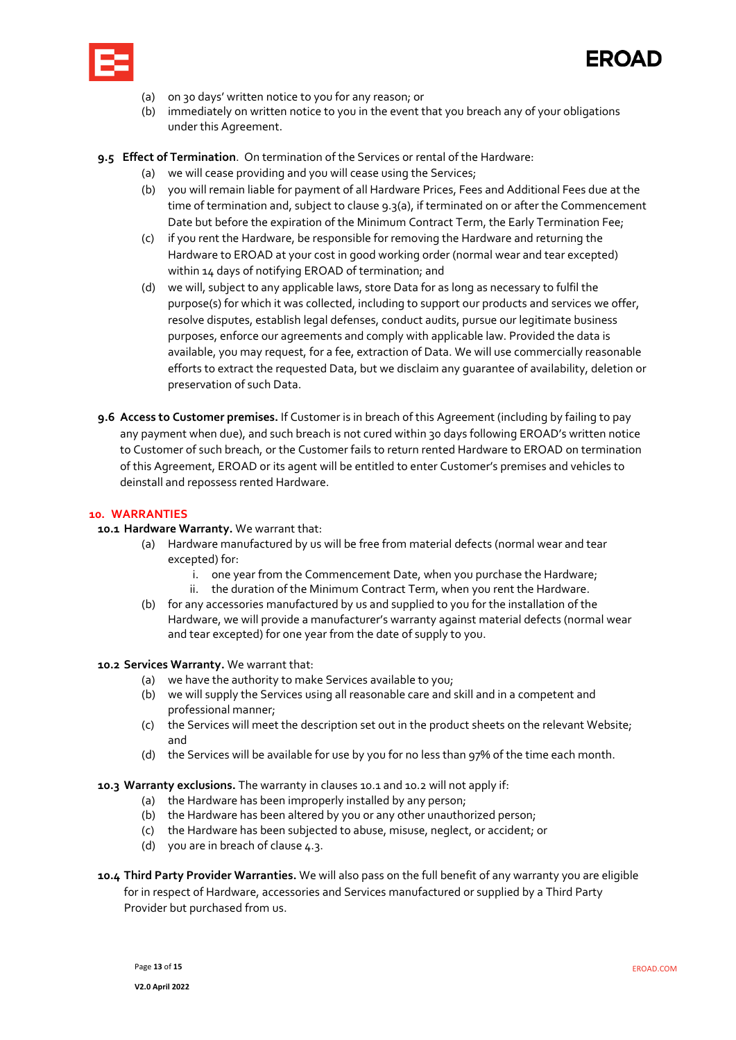



- (a) on 30 days' written notice to you for any reason; or
- (b) immediately on written notice to you in the event that you breach any of your obligations under this Agreement.
- <span id="page-12-4"></span>**9.5 Effect of Termination**. On termination of the Services or rental of the Hardware:
	- (a) we will cease providing and you will cease using the Services;
	- (b) you will remain liable for payment of all Hardware Prices, Fees and Additional Fees due at the time of termination and, subject to claus[e 9.3\(a\),](#page-11-4) if terminated on or after the Commencement Date but before the expiration of the Minimum Contract Term, the Early Termination Fee;
	- (c) if you rent the Hardware, be responsible for removing the Hardware and returning the Hardware to EROAD at your cost in good working order (normal wear and tear excepted) within 14 days of notifying EROAD of termination; and
	- (d) we will, subject to any applicable laws, store Data for as long as necessary to fulfil the purpose(s) for which it was collected, including to support our products and services we offer, resolve disputes, establish legal defenses, conduct audits, pursue our legitimate business purposes, enforce our agreements and comply with applicable law. Provided the data is available, you may request, for a fee, extraction of Data. We will use commercially reasonable efforts to extract the requested Data, but we disclaim any guarantee of availability, deletion or preservation of such Data.
- **9.6 Access to Customer premises.** If Customer is in breach of this Agreement (including by failing to pay any payment when due), and such breach is not cured within 30 days following EROAD's written notice to Customer of such breach, or the Customer fails to return rented Hardware to EROAD on termination of this Agreement, EROAD or its agent will be entitled to enter Customer's premises and vehicles to deinstall and repossess rented Hardware.

#### **10. WARRANTIES**

#### <span id="page-12-0"></span>**10.1 Hardware Warranty.** We warrant that:

- (a) Hardware manufactured by us will be free from material defects (normal wear and tear excepted) for:
	- i. one year from the Commencement Date, when you purchase the Hardware;
	- ii. the duration of the Minimum Contract Term, when you rent the Hardware.
- (b) for any accessories manufactured by us and supplied to you for the installation of the Hardware, we will provide a manufacturer's warranty against material defects (normal wear and tear excepted) for one year from the date of supply to you.

#### <span id="page-12-1"></span>**10.2 Services Warranty.** We warrant that:

- (a) we have the authority to make Services available to you;
- (b) we will supply the Services using all reasonable care and skill and in a competent and professional manner;
- (c) the Services will meet the description set out in the product sheets on the relevant Website; and
- (d) the Services will be available for use by you for no less than 97% of the time each month.

#### <span id="page-12-2"></span>**10.3 Warranty exclusions.** The warranty in clause[s 10.1](#page-12-0) an[d 10.2](#page-12-1) will not apply if:

- (a) the Hardware has been improperly installed by any person;
- (b) the Hardware has been altered by you or any other unauthorized person;
- (c) the Hardware has been subjected to abuse, misuse, neglect, or accident; or
- (d) you are in breach of clause  $4.3$ .
- <span id="page-12-3"></span>**10.4 Third Party Provider Warranties.** We will also pass on the full benefit of any warranty you are eligible for in respect of Hardware, accessories and Services manufactured or supplied by a Third Party Provider but purchased from us.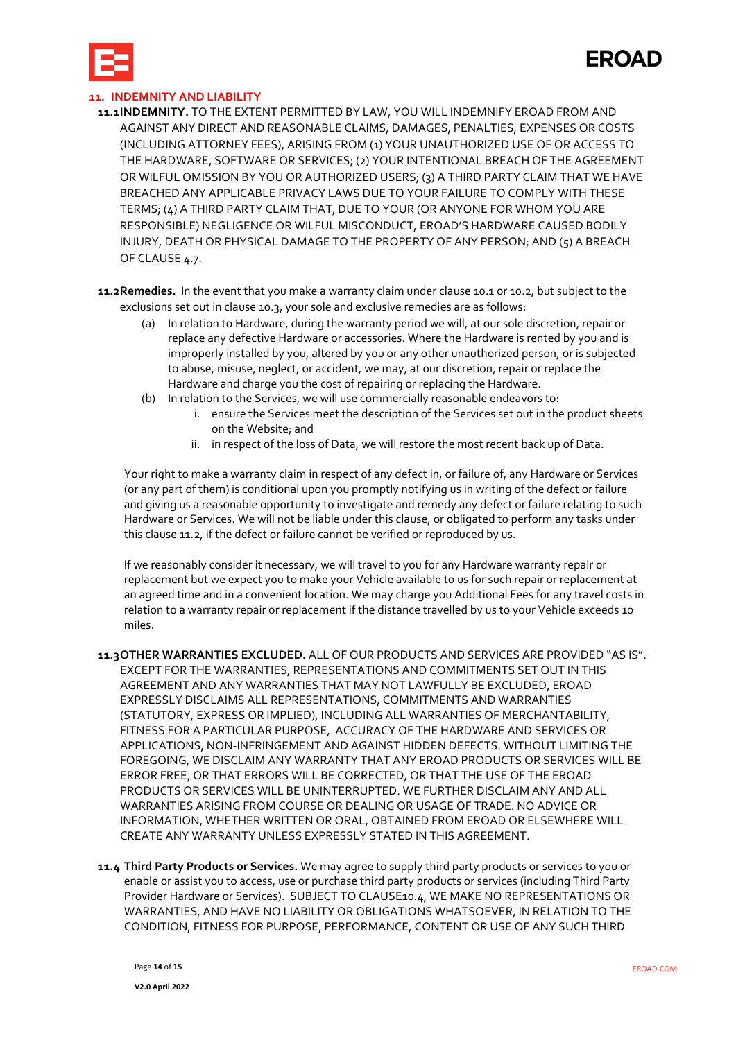

#### <span id="page-13-1"></span>**11. INDEMNITY AND LIABILITY**

- **11.1INDEMNITY.** TO THE EXTENT PERMITTED BY LAW, YOU WILL INDEMNIFY EROAD FROM AND AGAINST ANY DIRECT AND REASONABLE CLAIMS, DAMAGES, PENALTIES, EXPENSES OR COSTS (INCLUDING ATTORNEY FEES), ARISING FROM (1) YOUR UNAUTHORIZED USE OF OR ACCESS TO THE HARDWARE, SOFTWARE OR SERVICES; (2) YOUR INTENTIONAL BREACH OF THE AGREEMENT OR WILFUL OMISSION BY YOU OR AUTHORIZED USERS; (3) A THIRD PARTY CLAIM THAT WE HAVE BREACHED ANY APPLICABLE PRIVACY LAWS DUE TO YOUR FAILURE TO COMPLY WITH THESE TERMS; (4) A THIRD PARTY CLAIM THAT, DUE TO YOUR (OR ANYONE FOR WHOM YOU ARE RESPONSIBLE) NEGLIGENCE OR WILFUL MISCONDUCT, EROAD'S HARDWARE CAUSED BODILY INJURY, DEATH OR PHYSICAL DAMAGE TO THE PROPERTY OF ANY PERSON; AND (5) A BREACH OF CLAUS[E 4.7.](#page-6-0)
- <span id="page-13-0"></span>**11.2Remedies.** In the event that you make a warranty claim under claus[e 10.1](#page-12-0) or [10.2,](#page-12-1) but subject to the exclusions set out in clause [10.3,](#page-12-2) your sole and exclusive remedies are as follows:
	- (a) In relation to Hardware, during the warranty period we will, at our sole discretion, repair or replace any defective Hardware or accessories. Where the Hardware is rented by you and is improperly installed by you, altered by you or any other unauthorized person, or is subjected to abuse, misuse, neglect, or accident, we may, at our discretion, repair or replace the Hardware and charge you the cost of repairing or replacing the Hardware.
	- (b) In relation to the Services, we will use commercially reasonable endeavors to:
		- i. ensure the Services meet the description of the Services set out in the product sheets on the Website; and
		- ii. in respect of the loss of Data, we will restore the most recent back up of Data.

Your right to make a warranty claim in respect of any defect in, or failure of, any Hardware or Services (or any part of them) is conditional upon you promptly notifying us in writing of the defect or failure and giving us a reasonable opportunity to investigate and remedy any defect or failure relating to such Hardware or Services. We will not be liable under this clause, or obligated to perform any tasks under this claus[e 11.2,](#page-13-0) if the defect or failure cannot be verified or reproduced by us.

If we reasonably consider it necessary, we will travel to you for any Hardware warranty repair or replacement but we expect you to make your Vehicle available to us for such repair or replacement at an agreed time and in a convenient location. We may charge you Additional Fees for any travel costs in relation to a warranty repair or replacement if the distance travelled by us to your Vehicle exceeds 10 miles.

- **11.3OTHER WARRANTIES EXCLUDED.** ALL OF OUR PRODUCTS AND SERVICES ARE PROVIDED "AS IS". EXCEPT FOR THE WARRANTIES, REPRESENTATIONS AND COMMITMENTS SET OUT IN THIS AGREEMENT AND ANY WARRANTIES THAT MAY NOT LAWFULLY BE EXCLUDED, EROAD EXPRESSLY DISCLAIMS ALL REPRESENTATIONS, COMMITMENTS AND WARRANTIES (STATUTORY, EXPRESS OR IMPLIED), INCLUDING ALL WARRANTIES OF MERCHANTABILITY, FITNESS FOR A PARTICULAR PURPOSE, ACCURACY OF THE HARDWARE AND SERVICES OR APPLICATIONS, NON-INFRINGEMENT AND AGAINST HIDDEN DEFECTS. WITHOUT LIMITING THE FOREGOING, WE DISCLAIM ANY WARRANTY THAT ANY EROAD PRODUCTS OR SERVICES WILL BE ERROR FREE, OR THAT ERRORS WILL BE CORRECTED, OR THAT THE USE OF THE EROAD PRODUCTS OR SERVICES WILL BE UNINTERRUPTED. WE FURTHER DISCLAIM ANY AND ALL WARRANTIES ARISING FROM COURSE OR DEALING OR USAGE OF TRADE. NO ADVICE OR INFORMATION, WHETHER WRITTEN OR ORAL, OBTAINED FROM EROAD OR ELSEWHERE WILL CREATE ANY WARRANTY UNLESS EXPRESSLY STATED IN THIS AGREEMENT.
- **11.4 Third Party Products or Services.** We may agree to supply third party products or services to you or enable or assist you to access, use or purchase third party products or services (including Third Party Provider Hardware or Services). SUBJECT TO CLAUS[E10.4,](#page-12-3) WE MAKE NO REPRESENTATIONS OR WARRANTIES, AND HAVE NO LIABILITY OR OBLIGATIONS WHATSOEVER, IN RELATION TO THE CONDITION, FITNESS FOR PURPOSE, PERFORMANCE, CONTENT OR USE OF ANY SUCH THIRD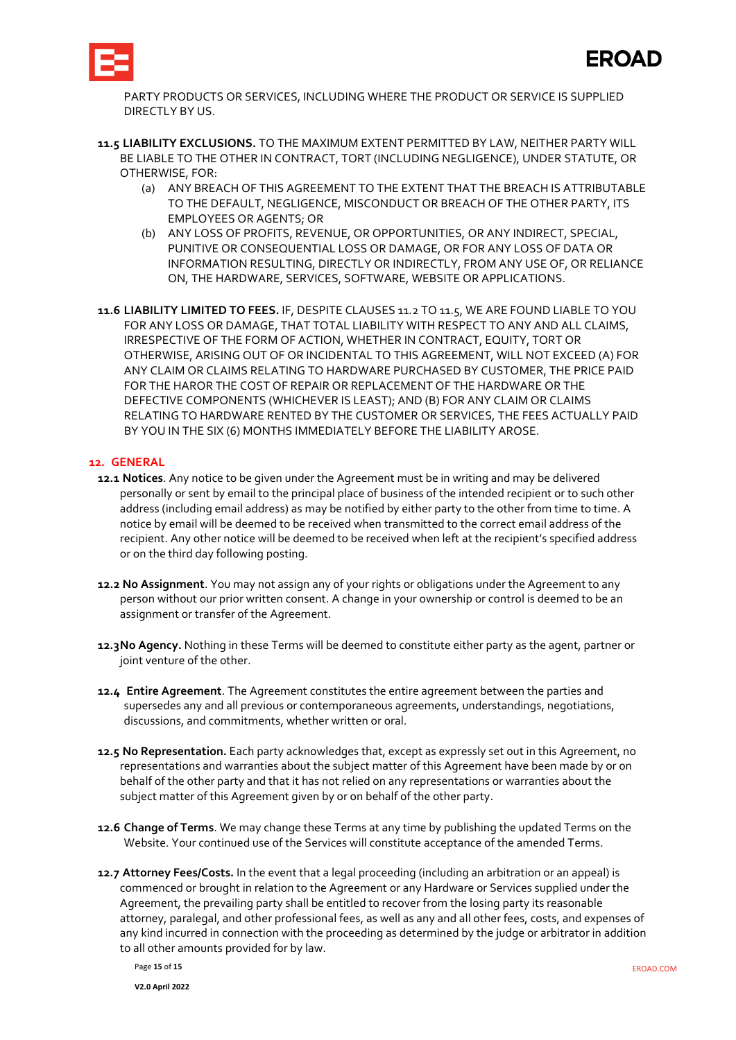

PARTY PRODUCTS OR SERVICES, INCLUDING WHERE THE PRODUCT OR SERVICE IS SUPPLIED DIRECTLY BY US.

- <span id="page-14-0"></span>**11.5 LIABILITY EXCLUSIONS.** TO THE MAXIMUM EXTENT PERMITTED BY LAW, NEITHER PARTY WILL BE LIABLE TO THE OTHER IN CONTRACT, TORT (INCLUDING NEGLIGENCE), UNDER STATUTE, OR OTHERWISE, FOR:
	- (a) ANY BREACH OF THIS AGREEMENT TO THE EXTENT THAT THE BREACH IS ATTRIBUTABLE TO THE DEFAULT, NEGLIGENCE, MISCONDUCT OR BREACH OF THE OTHER PARTY, ITS EMPLOYEES OR AGENTS; OR
	- (b) ANY LOSS OF PROFITS, REVENUE, OR OPPORTUNITIES, OR ANY INDIRECT, SPECIAL, PUNITIVE OR CONSEQUENTIAL LOSS OR DAMAGE, OR FOR ANY LOSS OF DATA OR INFORMATION RESULTING, DIRECTLY OR INDIRECTLY, FROM ANY USE OF, OR RELIANCE ON, THE HARDWARE, SERVICES, SOFTWARE, WEBSITE OR APPLICATIONS.
- **11.6 LIABILITY LIMITED TO FEES.** IF, DESPITE CLAUSES [11.2](#page-13-0) T[O 11.5,](#page-14-0) WE ARE FOUND LIABLE TO YOU FOR ANY LOSS OR DAMAGE, THAT TOTAL LIABILITY WITH RESPECT TO ANY AND ALL CLAIMS, IRRESPECTIVE OF THE FORM OF ACTION, WHETHER IN CONTRACT, EQUITY, TORT OR OTHERWISE, ARISING OUT OF OR INCIDENTAL TO THIS AGREEMENT, WILL NOT EXCEED (A) FOR ANY CLAIM OR CLAIMS RELATING TO HARDWARE PURCHASED BY CUSTOMER, THE PRICE PAID FOR THE HAROR THE COST OF REPAIR OR REPLACEMENT OF THE HARDWARE OR THE DEFECTIVE COMPONENTS (WHICHEVER IS LEAST); AND (B) FOR ANY CLAIM OR CLAIMS RELATING TO HARDWARE RENTED BY THE CUSTOMER OR SERVICES, THE FEES ACTUALLY PAID BY YOU IN THE SIX (6) MONTHS IMMEDIATELY BEFORE THE LIABILITY AROSE.

#### **12. GENERAL**

- **12.1 Notices**. Any notice to be given under the Agreement must be in writing and may be delivered personally or sent by email to the principal place of business of the intended recipient or to such other address (including email address) as may be notified by either party to the other from time to time. A notice by email will be deemed to be received when transmitted to the correct email address of the recipient. Any other notice will be deemed to be received when left at the recipient's specified address or on the third day following posting.
- **12.2 No Assignment**. You may not assign any of your rights or obligations under the Agreement to any person without our prior written consent. A change in your ownership or control is deemed to be an assignment or transfer of the Agreement.
- **12.3No Agency.** Nothing in these Terms will be deemed to constitute either party as the agent, partner or joint venture of the other.
- **12.4 Entire Agreement**. The Agreement constitutes the entire agreement between the parties and supersedes any and all previous or contemporaneous agreements, understandings, negotiations, discussions, and commitments, whether written or oral.
- **12.5 No Representation.** Each party acknowledges that, except as expressly set out in this Agreement, no representations and warranties about the subject matter of this Agreement have been made by or on behalf of the other party and that it has not relied on any representations or warranties about the subject matter of this Agreement given by or on behalf of the other party.
- **12.6 Change of Terms**. We may change these Terms at any time by publishing the updated Terms on the Website. Your continued use of the Services will constitute acceptance of the amended Terms.
- <span id="page-14-1"></span>**12.7 Attorney Fees/Costs.** In the event that a legal proceeding (including an arbitration or an appeal) is commenced or brought in relation to the Agreement or any Hardware or Services supplied under the Agreement, the prevailing party shall be entitled to recover from the losing party its reasonable attorney, paralegal, and other professional fees, as well as any and all other fees, costs, and expenses of any kind incurred in connection with the proceeding as determined by the judge or arbitrator in addition to all other amounts provided for by law.